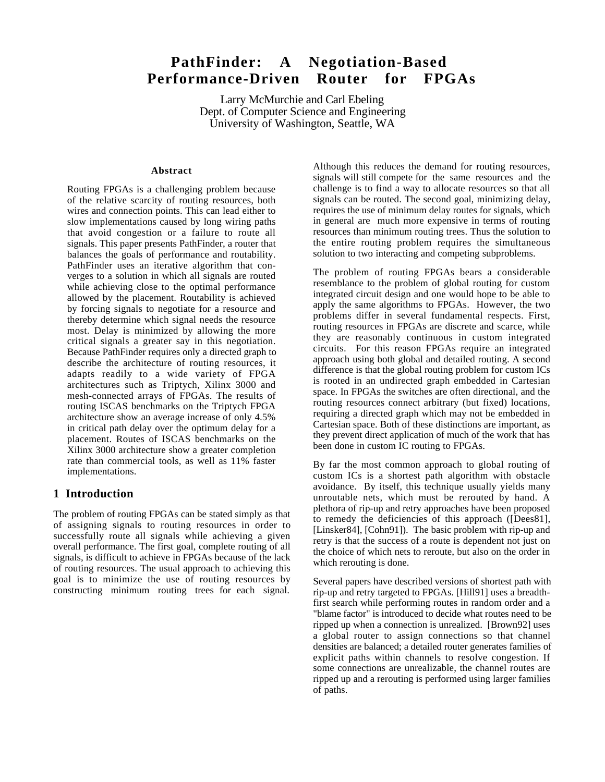# **PathFinder: A Negotiation-Based Performance-Driven Router for FPGAs**

Larry McMurchie and Carl Ebeling Dept. of Computer Science and Engineering University of Washington, Seattle, WA

#### **Abstract**

Routing FPGAs is a challenging problem because of the relative scarcity of routing resources, both wires and connection points. This can lead either to slow implementations caused by long wiring paths that avoid congestion or a failure to route all signals. This paper presents PathFinder, a router that balances the goals of performance and routability. PathFinder uses an iterative algorithm that converges to a solution in which all signals are routed while achieving close to the optimal performance allowed by the placement. Routability is achieved by forcing signals to negotiate for a resource and thereby determine which signal needs the resource most. Delay is minimized by allowing the more critical signals a greater say in this negotiation. Because PathFinder requires only a directed graph to describe the architecture of routing resources, it adapts readily to a wide variety of FPGA architectures such as Triptych, Xilinx 3000 and mesh-connected arrays of FPGAs. The results of routing ISCAS benchmarks on the Triptych FPGA architecture show an average increase of only 4.5% in critical path delay over the optimum delay for a placement. Routes of ISCAS benchmarks on the Xilinx 3000 architecture show a greater completion rate than commercial tools, as well as 11% faster implementations.

# **1 Introduction**

The problem of routing FPGAs can be stated simply as that of assigning signals to routing resources in order to successfully route all signals while achieving a given overall performance. The first goal, complete routing of all signals, is difficult to achieve in FPGAs because of the lack of routing resources. The usual approach to achieving this goal is to minimize the use of routing resources by constructing minimum routing trees for each signal.

Although this reduces the demand for routing resources, signals will still compete for the same resources and the challenge is to find a way to allocate resources so that all signals can be routed. The second goal, minimizing delay, requires the use of minimum delay routes for signals, which in general are much more expensive in terms of routing resources than minimum routing trees. Thus the solution to the entire routing problem requires the simultaneous solution to two interacting and competing subproblems.

The problem of routing FPGAs bears a considerable resemblance to the problem of global routing for custom integrated circuit design and one would hope to be able to apply the same algorithms to FPGAs. However, the two problems differ in several fundamental respects. First, routing resources in FPGAs are discrete and scarce, while they are reasonably continuous in custom integrated circuits. For this reason FPGAs require an integrated approach using both global and detailed routing. A second difference is that the global routing problem for custom ICs is rooted in an undirected graph embedded in Cartesian space. In FPGAs the switches are often directional, and the routing resources connect arbitrary (but fixed) locations, requiring a directed graph which may not be embedded in Cartesian space. Both of these distinctions are important, as they prevent direct application of much of the work that has been done in custom IC routing to FPGAs.

By far the most common approach to global routing of custom ICs is a shortest path algorithm with obstacle avoidance. By itself, this technique usually yields many unroutable nets, which must be rerouted by hand. A plethora of rip-up and retry approaches have been proposed to remedy the deficiencies of this approach ([Dees81], [Linsker84], [Cohn91]). The basic problem with rip-up and retry is that the success of a route is dependent not just on the choice of which nets to reroute, but also on the order in which rerouting is done.

Several papers have described versions of shortest path with rip-up and retry targeted to FPGAs. [Hill91] uses a breadthfirst search while performing routes in random order and a "blame factor" is introduced to decide what routes need to be ripped up when a connection is unrealized. [Brown92] uses a global router to assign connections so that channel densities are balanced; a detailed router generates families of explicit paths within channels to resolve congestion. If some connections are unrealizable, the channel routes are ripped up and a rerouting is performed using larger families of paths.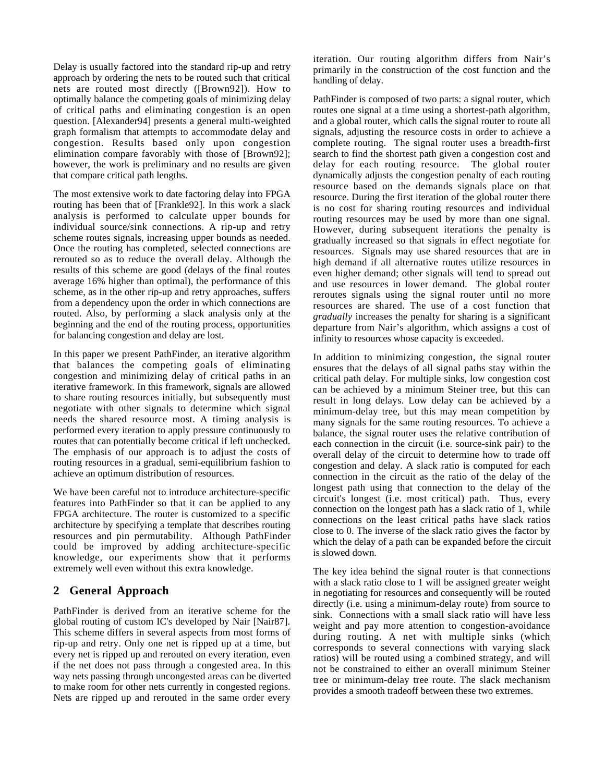Delay is usually factored into the standard rip-up and retry approach by ordering the nets to be routed such that critical nets are routed most directly ([Brown92]). How to optimally balance the competing goals of minimizing delay of critical paths and eliminating congestion is an open question. [Alexander94] presents a general multi-weighted graph formalism that attempts to accommodate delay and congestion. Results based only upon congestion elimination compare favorably with those of [Brown92]; however, the work is preliminary and no results are given that compare critical path lengths.

The most extensive work to date factoring delay into FPGA routing has been that of [Frankle92]. In this work a slack analysis is performed to calculate upper bounds for individual source/sink connections. A rip-up and retry scheme routes signals, increasing upper bounds as needed. Once the routing has completed, selected connections are rerouted so as to reduce the overall delay. Although the results of this scheme are good (delays of the final routes average 16% higher than optimal), the performance of this scheme, as in the other rip-up and retry approaches, suffers from a dependency upon the order in which connections are routed. Also, by performing a slack analysis only at the beginning and the end of the routing process, opportunities for balancing congestion and delay are lost.

In this paper we present PathFinder, an iterative algorithm that balances the competing goals of eliminating congestion and minimizing delay of critical paths in an iterative framework. In this framework, signals are allowed to share routing resources initially, but subsequently must negotiate with other signals to determine which signal needs the shared resource most. A timing analysis is performed every iteration to apply pressure continuously to routes that can potentially become critical if left unchecked. The emphasis of our approach is to adjust the costs of routing resources in a gradual, semi-equilibrium fashion to achieve an optimum distribution of resources.

We have been careful not to introduce architecture-specific features into PathFinder so that it can be applied to any FPGA architecture. The router is customized to a specific architecture by specifying a template that describes routing resources and pin permutability. Although PathFinder could be improved by adding architecture-specific knowledge, our experiments show that it performs extremely well even without this extra knowledge.

# **2 General Approach**

PathFinder is derived from an iterative scheme for the global routing of custom IC's developed by Nair [Nair87]. This scheme differs in several aspects from most forms of rip-up and retry. Only one net is ripped up at a time, but every net is ripped up and rerouted on every iteration, even if the net does not pass through a congested area. In this way nets passing through uncongested areas can be diverted to make room for other nets currently in congested regions. Nets are ripped up and rerouted in the same order every

iteration. Our routing algorithm differs from Nair's primarily in the construction of the cost function and the handling of delay.

PathFinder is composed of two parts: a signal router, which routes one signal at a time using a shortest-path algorithm, and a global router, which calls the signal router to route all signals, adjusting the resource costs in order to achieve a complete routing. The signal router uses a breadth-first search to find the shortest path given a congestion cost and delay for each routing resource. The global router dynamically adjusts the congestion penalty of each routing resource based on the demands signals place on that resource. During the first iteration of the global router there is no cost for sharing routing resources and individual routing resources may be used by more than one signal. However, during subsequent iterations the penalty is gradually increased so that signals in effect negotiate for resources. Signals may use shared resources that are in high demand if all alternative routes utilize resources in even higher demand; other signals will tend to spread out and use resources in lower demand. The global router reroutes signals using the signal router until no more resources are shared. The use of a cost function that *gradually* increases the penalty for sharing is a significant departure from Nair's algorithm, which assigns a cost of infinity to resources whose capacity is exceeded.

In addition to minimizing congestion, the signal router ensures that the delays of all signal paths stay within the critical path delay. For multiple sinks, low congestion cost can be achieved by a minimum Steiner tree, but this can result in long delays. Low delay can be achieved by a minimum-delay tree, but this may mean competition by many signals for the same routing resources. To achieve a balance, the signal router uses the relative contribution of each connection in the circuit (i.e. source-sink pair) to the overall delay of the circuit to determine how to trade off congestion and delay. A slack ratio is computed for each connection in the circuit as the ratio of the delay of the longest path using that connection to the delay of the circuit's longest (i.e. most critical) path. Thus, every connection on the longest path has a slack ratio of 1, while connections on the least critical paths have slack ratios close to 0. The inverse of the slack ratio gives the factor by which the delay of a path can be expanded before the circuit is slowed down.

The key idea behind the signal router is that connections with a slack ratio close to 1 will be assigned greater weight in negotiating for resources and consequently will be routed directly (i.e. using a minimum-delay route) from source to sink. Connections with a small slack ratio will have less weight and pay more attention to congestion-avoidance during routing. A net with multiple sinks (which corresponds to several connections with varying slack ratios) will be routed using a combined strategy, and will not be constrained to either an overall minimum Steiner tree or minimum-delay tree route. The slack mechanism provides a smooth tradeoff between these two extremes.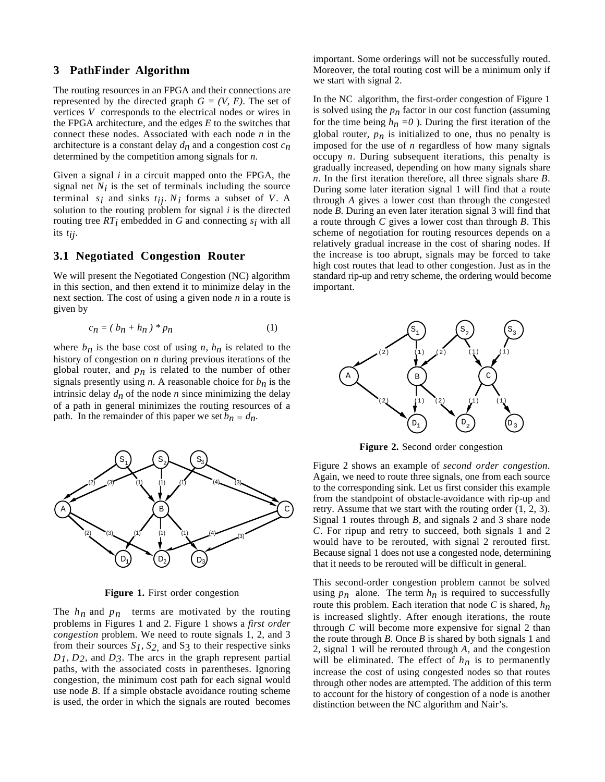# **3 PathFinder Algorithm**

The routing resources in an FPGA and their connections are represented by the directed graph  $G = (V, E)$ . The set of vertices *V* corresponds to the electrical nodes or wires in the FPGA architecture, and the edges *E* to the switches that connect these nodes. Associated with each node *n* in the architecture is a constant delay  $d_n$  and a congestion cost  $c_n$ determined by the competition among signals for *n*.

Given a signal *i* in a circuit mapped onto the FPGA, the signal net  $N_i$  is the set of terminals including the source terminal  $s_i$  and sinks  $t_{ij}$ .  $N_i$  forms a subset of *V*. A solution to the routing problem for signal *i* is the directed routing tree  $RT_i$  embedded in *G* and connecting  $s_i$  with all its *tij*.

## **3.1 Negotiated Congestion Router**

We will present the Negotiated Congestion (NC) algorithm in this section, and then extend it to minimize delay in the next section. The cost of using a given node *n* in a route is given by

$$
c_n = (b_n + h_n) * p_n \tag{1}
$$

where  $b_n$  is the base cost of using *n*,  $h_n$  is related to the history of congestion on *n* during previous iterations of the global router, and  $p_n$  is related to the number of other signals presently using  $n$ . A reasonable choice for  $b_n$  is the intrinsic delay  $d_n$  of the node  $n$  since minimizing the delay of a path in general minimizes the routing resources of a path. In the remainder of this paper we set  $b_n = d_n$ .



**Figure 1.** First order congestion

The  $h_n$  and  $p_n$  terms are motivated by the routing problems in Figures 1 and 2. Figure 1 shows a *first order congestion* problem. We need to route signals 1, 2, and 3 from their sources  $S_1$ ,  $S_2$ , and  $S_3$  to their respective sinks *D1*, *D2*, and *D3*. The arcs in the graph represent partial paths, with the associated costs in parentheses. Ignoring congestion, the minimum cost path for each signal would use node *B*. If a simple obstacle avoidance routing scheme is used, the order in which the signals are routed becomes

important. Some orderings will not be successfully routed. Moreover, the total routing cost will be a minimum only if we start with signal 2.

In the NC algorithm, the first-order congestion of Figure 1 is solved using the  $p<sub>n</sub>$  factor in our cost function (assuming for the time being  $h_n = 0$  ). During the first iteration of the global router,  $p_n$  is initialized to one, thus no penalty is imposed for the use of *n* regardless of how many signals occupy *n*. During subsequent iterations, this penalty is gradually increased, depending on how many signals share *n*. In the first iteration therefore, all three signals share *B*. During some later iteration signal 1 will find that a route through *A* gives a lower cost than through the congested node *B*. During an even later iteration signal 3 will find that a route through *C* gives a lower cost than through *B*. This scheme of negotiation for routing resources depends on a relatively gradual increase in the cost of sharing nodes. If the increase is too abrupt, signals may be forced to take high cost routes that lead to other congestion. Just as in the standard rip-up and retry scheme, the ordering would become important.



**Figure 2.** Second order congestion

Figure 2 shows an example of *second order congestion*. Again, we need to route three signals, one from each source to the corresponding sink. Let us first consider this example from the standpoint of obstacle-avoidance with rip-up and retry. Assume that we start with the routing order (1, 2, 3). Signal 1 routes through *B*, and signals 2 and 3 share node *C*. For ripup and retry to succeed, both signals 1 and 2 would have to be rerouted, with signal 2 rerouted first. Because signal 1 does not use a congested node, determining that it needs to be rerouted will be difficult in general.

This second-order congestion problem cannot be solved using  $p_n$  alone. The term  $h_n$  is required to successfully route this problem. Each iteration that node  $C$  is shared,  $h_n$ is increased slightly. After enough iterations, the route through *C* will become more expensive for signal 2 than the route through *B*. Once *B* is shared by both signals 1 and 2, signal 1 will be rerouted through *A*, and the congestion will be eliminated. The effect of  $h_n$  is to permanently increase the cost of using congested nodes so that routes through other nodes are attempted. The addition of this term to account for the history of congestion of a node is another distinction between the NC algorithm and Nair's.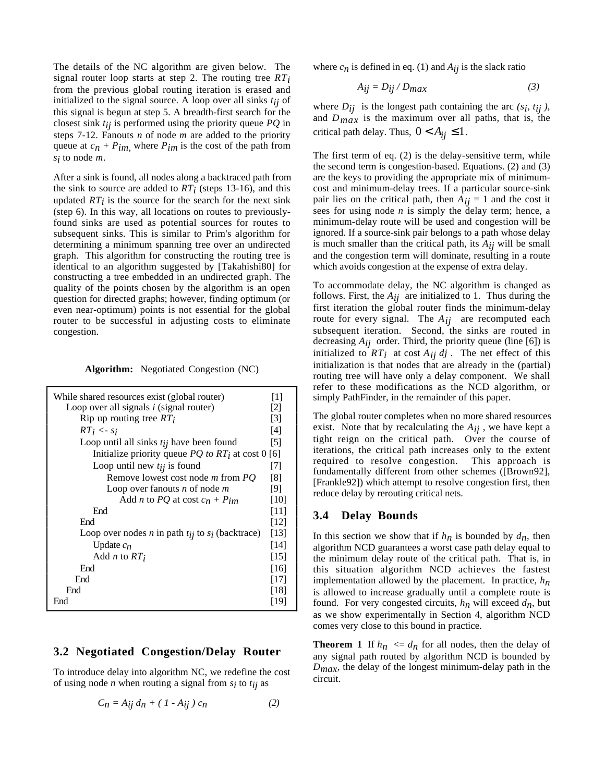The details of the NC algorithm are given below. The signal router loop starts at step 2. The routing tree *RTi* from the previous global routing iteration is erased and initialized to the signal source. A loop over all sinks *tij* of this signal is begun at step 5. A breadth-first search for the closest sink *tij* is performed using the priority queue *PQ* in steps 7-12. Fanouts *n* of node *m* are added to the priority queue at  $c_n + P_{im}$ , where  $P_{im}$  is the cost of the path from *si* to node *m*.

After a sink is found, all nodes along a backtraced path from the sink to source are added to  $RT_i$  (steps 13-16), and this updated  $RT_i$  is the source for the search for the next sink (step 6). In this way, all locations on routes to previouslyfound sinks are used as potential sources for routes to subsequent sinks. This is similar to Prim's algorithm for determining a minimum spanning tree over an undirected graph. This algorithm for constructing the routing tree is identical to an algorithm suggested by [Takahishi80] for constructing a tree embedded in an undirected graph. The quality of the points chosen by the algorithm is an open question for directed graphs; however, finding optimum (or even near-optimum) points is not essential for the global router to be successful in adjusting costs to eliminate congestion.

**Algorithm:** Negotiated Congestion (NC)

| While shared resources exist (global router)                        | [1]               |
|---------------------------------------------------------------------|-------------------|
| Loop over all signals $i$ (signal router)                           | [2]               |
| Rip up routing tree $RT_i$                                          | [3]               |
| $RT_i \leftarrow s_i$                                               | [4]               |
| Loop until all sinks $t_{ij}$ have been found                       | $\lceil 5 \rceil$ |
| Initialize priority queue <i>PQ to RT<sub>i</sub></i> at cost 0 [6] |                   |
| Loop until new $t_{ij}$ is found                                    | $[7]$             |
| Remove lowest cost node $m$ from $PQ$                               | [8]               |
| Loop over fanouts <i>n</i> of node <i>m</i>                         | [9]               |
| Add <i>n</i> to <i>PQ</i> at cost $c_n + P_{im}$                    | $[10]$            |
| End                                                                 | [11]              |
| End                                                                 | [12]              |
| Loop over nodes <i>n</i> in path $t_{ij}$ to $s_i$ (backtrace)      | $[13]$            |
| Update $c_n$                                                        | $[14]$            |
| Add <i>n</i> to $RT_i$                                              | $[15]$            |
| End                                                                 | [16]              |
| End                                                                 | [17]              |
| End                                                                 | [18]              |
| End                                                                 | [19]              |

#### **3.2 Negotiated Congestion/Delay Router**

To introduce delay into algorithm NC, we redefine the cost of using node *n* when routing a signal from  $s_i$  to  $t_{ij}$  as

$$
C_n = A_{ij} d_n + (1 - A_{ij}) c_n \tag{2}
$$

where  $c_n$  is defined in eq. (1) and  $A_{ij}$  is the slack ratio

$$
A_{ij} = D_{ij} / D_{max} \tag{3}
$$

where  $D_{ij}$  is the longest path containing the arc *(s<sub>i</sub>, t<sub>ij</sub>)*, and  $D_{max}$  is the maximum over all paths, that is, the critical path delay. Thus,  $0 < A_{ii} \leq 1$ .

The first term of eq. (2) is the delay-sensitive term, while the second term is congestion-based. Equations. (2) and (3) are the keys to providing the appropriate mix of minimumcost and minimum-delay trees. If a particular source-sink pair lies on the critical path, then  $A_{ij} = 1$  and the cost it sees for using node *n* is simply the delay term; hence, a minimum-delay route will be used and congestion will be ignored. If a source-sink pair belongs to a path whose delay is much smaller than the critical path, its *Aij* will be small and the congestion term will dominate, resulting in a route which avoids congestion at the expense of extra delay.

To accommodate delay, the NC algorithm is changed as follows. First, the  $A_{ij}$  are initialized to 1. Thus during the first iteration the global router finds the minimum-delay route for every signal. The *Aij* are recomputed each subsequent iteration. Second, the sinks are routed in decreasing  $A_{ij}$  order. Third, the priority queue (line [6]) is initialized to  $RT_i$  at cost  $A_{ij}$  *dj*. The net effect of this initialization is that nodes that are already in the (partial) routing tree will have only a delay component. We shall refer to these modifications as the NCD algorithm, or simply PathFinder, in the remainder of this paper.

The global router completes when no more shared resources exist. Note that by recalculating the  $A_{ij}$ , we have kept a tight reign on the critical path. Over the course of iterations, the critical path increases only to the extent required to resolve congestion. This approach is fundamentally different from other schemes ([Brown92], [Frankle92]) which attempt to resolve congestion first, then reduce delay by rerouting critical nets.

#### **3.4 Delay Bounds**

In this section we show that if  $h_n$  is bounded by  $d_n$ , then algorithm NCD guarantees a worst case path delay equal to the minimum delay route of the critical path. That is, in this situation algorithm NCD achieves the fastest implementation allowed by the placement. In practice, *hn* is allowed to increase gradually until a complete route is found. For very congested circuits,  $h_n$  will exceed  $d_n$ , but as we show experimentally in Section 4, algorithm NCD comes very close to this bound in practice.

**Theorem 1** If  $h_n \leq d_n$  for all nodes, then the delay of any signal path routed by algorithm NCD is bounded by *Dmax*, the delay of the longest minimum-delay path in the circuit.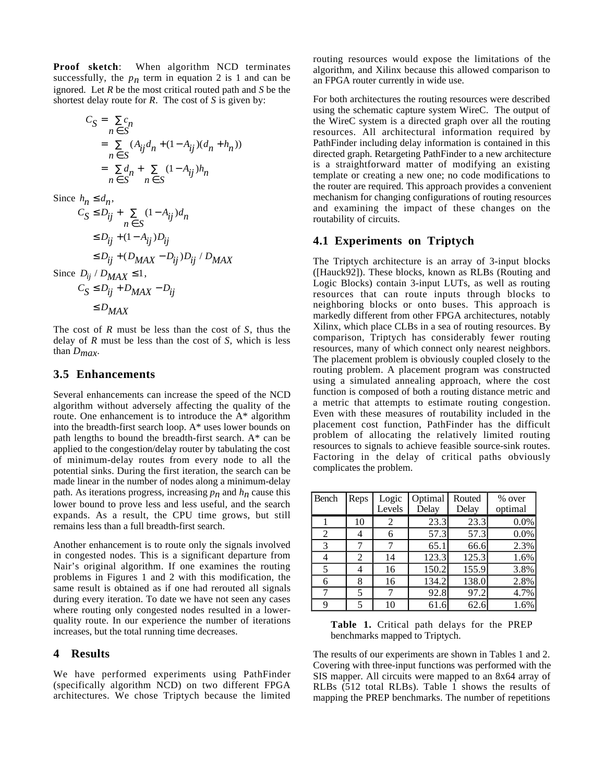**Proof sketch**: When algorithm NCD terminates successfully, the  $p_n$  term in equation 2 is 1 and can be ignored. Let *R* be the most critical routed path and *S* be the shortest delay route for *R*. The cost of *S* is given by:

$$
C_S = \sum_{n \in S} c_n
$$
  
= 
$$
\sum_{n \in S} (A_{ij}d_n + (1 - A_{ij})(d_n + h_n))
$$
  
= 
$$
\sum_{n \in S} d_n + \sum_{n \in S} (1 - A_{ij})h_n
$$

Since  $h_n \leq d_n$ ,

$$
C_{S} \le D_{ij} + \sum_{n \in S} (1 - A_{ij})d_{n}
$$
  
\n
$$
\le D_{ij} + (1 - A_{ij})D_{ij}
$$
  
\n
$$
\le D_{ij} + (D_{MAX} - D_{ij})D_{ij} / D_{MAX}
$$
  
\nSince  $D_{ij} / D_{MAX} \le 1$ ,  
\n $C_{S} \le D_{ij} + D_{MAX} - D_{ij}$ 

 $\leq D_{MAX}$ 

The cost of *R* must be less than the cost of *S*, thus the delay of *R* must be less than the cost of *S,* which is less than *Dmax*.

#### **3.5 Enhancements**

Several enhancements can increase the speed of the NCD algorithm without adversely affecting the quality of the route. One enhancement is to introduce the A\* algorithm into the breadth-first search loop. A\* uses lower bounds on path lengths to bound the breadth-first search. A\* can be applied to the congestion/delay router by tabulating the cost of minimum-delay routes from every node to all the potential sinks. During the first iteration, the search can be made linear in the number of nodes along a minimum-delay path. As iterations progress, increasing  $p_n$  and  $h_n$  cause this lower bound to prove less and less useful, and the search expands. As a result, the CPU time grows, but still remains less than a full breadth-first search.

Another enhancement is to route only the signals involved in congested nodes. This is a significant departure from Nair's original algorithm. If one examines the routing problems in Figures 1 and 2 with this modification, the same result is obtained as if one had rerouted all signals during every iteration. To date we have not seen any cases where routing only congested nodes resulted in a lowerquality route. In our experience the number of iterations increases, but the total running time decreases.

#### **4 Results**

We have performed experiments using PathFinder (specifically algorithm NCD) on two different FPGA architectures. We chose Triptych because the limited

routing resources would expose the limitations of the algorithm, and Xilinx because this allowed comparison to an FPGA router currently in wide use.

For both architectures the routing resources were described using the schematic capture system WireC. The output of the WireC system is a directed graph over all the routing resources. All architectural information required by PathFinder including delay information is contained in this directed graph. Retargeting PathFinder to a new architecture is a straightforward matter of modifying an existing template or creating a new one; no code modifications to the router are required. This approach provides a convenient mechanism for changing configurations of routing resources and examining the impact of these changes on the routability of circuits.

#### **4.1 Experiments on Triptych**

The Triptych architecture is an array of 3-input blocks ([Hauck92]). These blocks, known as RLBs (Routing and Logic Blocks) contain 3-input LUTs, as well as routing resources that can route inputs through blocks to neighboring blocks or onto buses. This approach is markedly different from other FPGA architectures, notably Xilinx, which place CLBs in a sea of routing resources. By comparison, Triptych has considerably fewer routing resources, many of which connect only nearest neighbors. The placement problem is obviously coupled closely to the routing problem. A placement program was constructed using a simulated annealing approach, where the cost function is composed of both a routing distance metric and a metric that attempts to estimate routing congestion. Even with these measures of routability included in the placement cost function, PathFinder has the difficult problem of allocating the relatively limited routing resources to signals to achieve feasible source-sink routes. Factoring in the delay of critical paths obviously complicates the problem.

| Bench | Reps | Logic<br>Levels | Optimal<br>Delay | Routed<br>Delay | % over<br>optimal |
|-------|------|-----------------|------------------|-----------------|-------------------|
|       | 10   | 2               | 23.3             | 23.3            | 0.0%              |
| 2     |      | 6               | 57.3             | 57.3            | 0.0%              |
| 3     |      |                 | 65.1             | 66.6            | 2.3%              |
|       | 2    | 14              | 123.3            | 125.3           | 1.6%              |
| 5     | 4    | 16              | 150.2            | 155.9           | 3.8%              |
| 6     | 8    | 16              | 134.2            | 138.0           | 2.8%              |
|       |      |                 | 92.8             | 97.2            | 4.7%              |
|       |      | 10              | 61.6             | 62.6            | 1.6%              |

**Table 1.** Critical path delays for the PREP benchmarks mapped to Triptych.

The results of our experiments are shown in Tables 1 and 2. Covering with three-input functions was performed with the SIS mapper. All circuits were mapped to an 8x64 array of RLBs (512 total RLBs). Table 1 shows the results of mapping the PREP benchmarks. The number of repetitions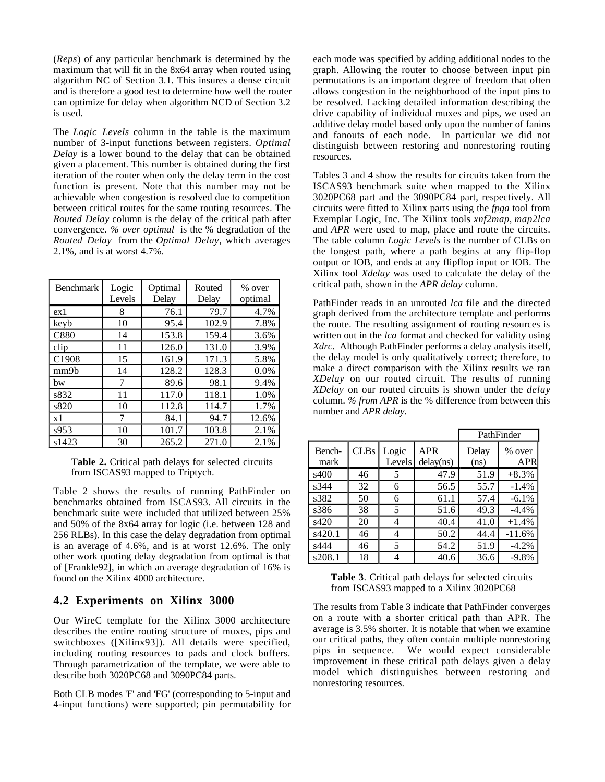(*Reps*) of any particular benchmark is determined by the maximum that will fit in the 8x64 array when routed using algorithm NC of Section 3.1. This insures a dense circuit and is therefore a good test to determine how well the router can optimize for delay when algorithm NCD of Section 3.2 is used.

The *Logic Levels* column in the table is the maximum number of 3-input functions between registers. *Optimal Delay* is a lower bound to the delay that can be obtained given a placement. This number is obtained during the first iteration of the router when only the delay term in the cost function is present*.* Note that this number may not be achievable when congestion is resolved due to competition between critical routes for the same routing resources. The *Routed Delay* column is the delay of the critical path after convergence. *% over optimal* is the % degradation of the *Routed Delay* from the *Optimal Delay*, which averages 2.1%, and is at worst 4.7%.

| <b>Benchmark</b>  | Logic<br>Levels | Optimal<br>Delay | Routed<br>Delay | % over<br>optimal |
|-------------------|-----------------|------------------|-----------------|-------------------|
| ex1               | 8               | 76.1             | 79.7            | 4.7%              |
| keyb              | 10              | 95.4             | 102.9           | 7.8%              |
| C880              | 14              | 153.8            | 159.4           | 3.6%              |
| clip              | 11              | 126.0            | 131.0           | 3.9%              |
| C <sub>1908</sub> | 15              | 161.9            | 171.3           | 5.8%              |
| mm9b              | 14              | 128.2            | 128.3           | 0.0%              |
| bw                | 7               | 89.6             | 98.1            | 9.4%              |
| s832              | 11              | 117.0            | 118.1           | 1.0%              |
| s820              | 10              | 112.8            | 114.7           | 1.7%              |
| x1                | 7               | 84.1             | 94.7            | 12.6%             |
| s953              | 10              | 101.7            | 103.8           | 2.1%              |
| s1423             | 30              | 265.2            | 271.0           | 2.1%              |

**Table 2.** Critical path delays for selected circuits from ISCAS93 mapped to Triptych.

Table 2 shows the results of running PathFinder on benchmarks obtained from ISCAS93. All circuits in the benchmark suite were included that utilized between 25% and 50% of the 8x64 array for logic (i.e. between 128 and 256 RLBs). In this case the delay degradation from optimal is an average of 4.6%, and is at worst 12.6%. The only other work quoting delay degradation from optimal is that of [Frankle92], in which an average degradation of 16% is found on the Xilinx 4000 architecture.

#### **4.2 Experiments on Xilinx 3000**

Our WireC template for the Xilinx 3000 architecture describes the entire routing structure of muxes, pips and switchboxes ([Xilinx93]). All details were specified, including routing resources to pads and clock buffers. Through parametrization of the template, we were able to describe both 3020PC68 and 3090PC84 parts.

Both CLB modes 'F' and 'FG' (corresponding to 5-input and 4-input functions) were supported; pin permutability for each mode was specified by adding additional nodes to the graph. Allowing the router to choose between input pin permutations is an important degree of freedom that often allows congestion in the neighborhood of the input pins to be resolved. Lacking detailed information describing the drive capability of individual muxes and pips, we used an additive delay model based only upon the number of fanins and fanouts of each node. In particular we did not distinguish between restoring and nonrestoring routing resources.

Tables 3 and 4 show the results for circuits taken from the ISCAS93 benchmark suite when mapped to the Xilinx 3020PC68 part and the 3090PC84 part, respectively. All circuits were fitted to Xilinx parts using the *fpga* tool from Exemplar Logic, Inc. The Xilinx tools *xnf2map*, *map2lca* and *APR* were used to map, place and route the circuits. The table column *Logic Levels* is the number of CLBs on the longest path, where a path begins at any flip-flop output or IOB, and ends at any flipflop input or IOB. The Xilinx tool *Xdelay* was used to calculate the delay of the critical path, shown in the *APR delay* column.

PathFinder reads in an unrouted *lca* file and the directed graph derived from the architecture template and performs the route. The resulting assignment of routing resources is written out in the *lca* format and checked for validity using *Xdrc*. Although PathFinder performs a delay analysis itself, the delay model is only qualitatively correct; therefore, to make a direct comparison with the Xilinx results we ran *XDelay* on our routed circuit. The results of running *XDelay* on our routed circuits is shown under the *delay* column. *% from APR* is the % difference from between this number and *APR delay.*

|                |             |                 |                  | PathFinder    |                      |
|----------------|-------------|-----------------|------------------|---------------|----------------------|
| Bench-<br>mark | <b>CLBs</b> | Logic<br>Levels | APR<br>delay(ns) | Delay<br>(ns) | % over<br><b>APR</b> |
| s400           | 46          | 5               | 47.9             | 51.9          | $+8.3%$              |
| s344           | 32          | 6               | 56.5             | 55.7          | $-1.4%$              |
| s382           | 50          | 6               | 61.1             | 57.4          | $-6.1\%$             |
| s386           | 38          | 5               | 51.6             | 49.3          | $-4.4\%$             |
| s420           | 20          | 4               | 40.4             | 41.0          | $+1.4%$              |
| s420.1         | 46          | 4               | 50.2             | 44.4          | $-11.6%$             |
| s444           | 46          | 5               | 54.2             | 51.9          | $-4.2%$              |
| s208.1         | 18          |                 | 40.6             | 36.6          | $-9.8%$              |

**Table 3**. Critical path delays for selected circuits from ISCAS93 mapped to a Xilinx 3020PC68

The results from Table 3 indicate that PathFinder converges on a route with a shorter critical path than APR. The average is 3.5% shorter. It is notable that when we examine our critical paths, they often contain multiple nonrestoring pips in sequence. We would expect considerable improvement in these critical path delays given a delay model which distinguishes between restoring and nonrestoring resources.